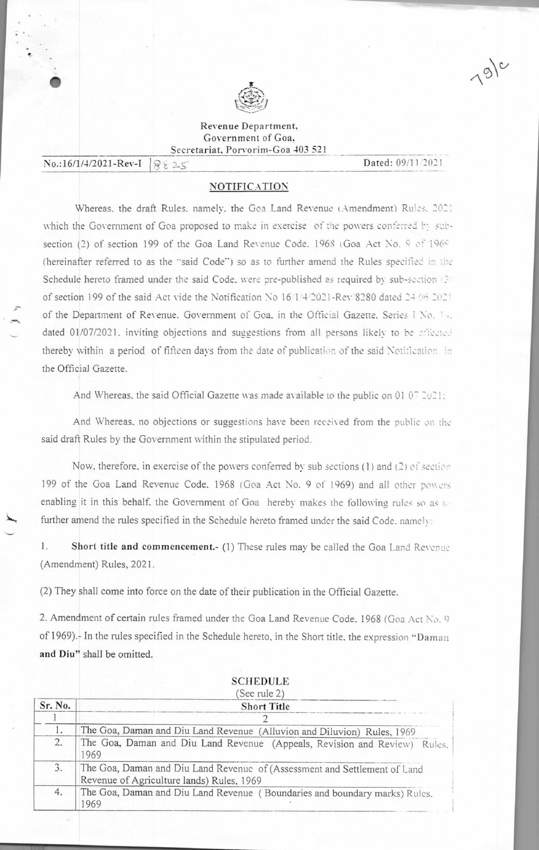

Revenue Department, Government of Goa, Secretariat, Porvorim-Goa 403 521

No.:16/1/4/2021-Rev-I  $\big| \partial_t \xi \geq 0$  Dated: 09/11/2021

•

 $19)^c$ 

### **NOTIFICATION**

Whereas. the draft Rules. namely. the Goa Land Revenue (Amendment) Rules. 202: which the Government of Goa proposed to make in exercise of the powers conferred by subsection (2) of section 199 of the Goa Land Revenue Code. 1968 (Goa Act No. 9 of 1960 (hereinafter referred to as the "said Code") so as to further amend the Rules specified in the Schedule hereto framed under the said Code, were pre-published as required by sub-section (3) of section 199 of the said Act vide the Notification No 16/1/4/2021-Rev/8280 dated 24 06 2021 of the Department of Revenue. Government of Goa. in the Official Gazette. Series I No. 14. dated 01/07/2021. inviting objections and suggestions from all persons likely to be ariected thereby within a period of fifteen days from the date of publication of the said Notification in the Official Gazette.

And Whereas, the said Official Gazette was made available to the public on 01.07  $2021$ :

And Whereas, no objections or suggestions have been received from the public *on*  said draft Rules by the Government within the stipulated period.

Now, therefore, in exercise of the powers conferred by sub sections (1) and (2) of section 199 of the Goa Land Revenue Code. 1968 (Goa Act No. 9 of 1969) and all other powers enabling it in this behalf, the Government of Goa hereby makes the following rules so as to further amend the rules specified in the Schedule hereto framed under the said Code, namely:

1. Short title and commencement.- (1) These rules may be called the Goa Land Revenue (Amendment) Rules, 2021.

(2) They shall come into force on the date of their publication in the Official Gazette.

2. Amendment of certain rules framed under the Goa Land Revenue Code, 1968 (Goa Act No. 9) of 1969).<sup>1</sup> In the rules specified in the Schedule hereto, in the Short title, the expression "Daman and Diu" shall be omitted.

|         | <b>SCHEDULE</b><br>(See rule 2)                                                                                        |
|---------|------------------------------------------------------------------------------------------------------------------------|
| Sr. No. | <b>Short Title</b>                                                                                                     |
|         |                                                                                                                        |
| 1.      | The Goa, Daman and Diu Land Revenue (Alluvion and Diluvion) Rules, 1969                                                |
| 2.      | The Goa, Daman and Diu Land Revenue (Appeals, Revision and Review) Rules.<br>1969                                      |
| 3.      | The Goa, Daman and Diu Land Revenue of (Assessment and Settlement of Land<br>Revenue of Agriculture lands) Rules, 1969 |
| 4.      | The Goa, Daman and Diu Land Revenue (Boundaries and boundary marks) Rules.<br>969                                      |